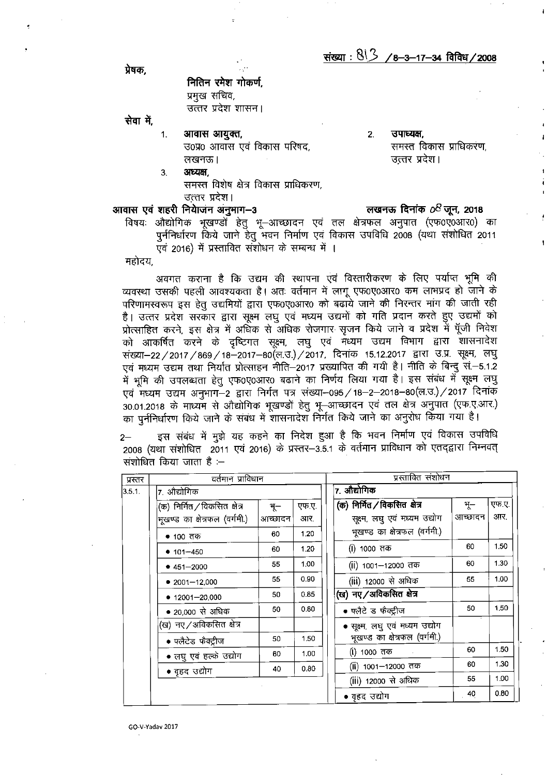प्रेषक.

नितिन रमेश गोकर्ण. प्रमुख सचिव, उत्तर प्रदेश शासन।

सेवा में.

- आवास आयुक्त,  $1.$ उ0प्र0 आवास एवं विकास परिषद, लखनऊ।
- उपाध्यक्ष,  $2.$ समस्त विकास प्राधिकरण, उत्तर प्रदेश।

अध्यक्ष, 3. समस्त विशेष क्षेत्र विकास प्राधिकरण,

आवास एवं शहरी नियाजन अनुमाग-3

उत्तर प्रदेश।

## लखनऊ दिनांक  $o<sup>8</sup>$ जून, 2018

विषयः औद्योगिक भूखण्डो हेतु भू–आच्छादन एवं तल क्षेत्रफल अनुपात (एफ0ए0आर0) का पुर्ननिर्धारण किये जाने हेतु भवन निर्माण एवं विकास उपविधि 2008 (यथा संशोधित 2011 एवं 2016) में प्रस्तावित संशोधन के सम्बन्ध में ।

महोदय.

अवगत कराना है कि उद्यम की स्थापना एवं विस्तारीकरण के लिए पर्याप्त भूमि की व्यवस्था उसकी पहली आवश्यकता है। अतः वर्तमान में लागू एफ0ए0आर0 कम लाभप्रद हो जाने के परिणामस्वरूप इस हेतु उद्यमियों द्वारा एफ0ए0आर0 को बढाये जाने की निरन्तर मांग की जाती रही है। उत्तर प्रदेश सरकार द्वारा सूक्ष्म लघु एवं मध्यम उद्यमों को गति प्रदान करते हुए उद्यमों को प्रोत्साहित करने, इस क्षेत्र में अधिक से अधिक रोजगार सृजन किये जाने व प्रदेश में पूँजी निवेश को आकर्षित करने के दृष्टिगत सूक्ष्म, लघु एवं मध्यम उद्यम विभाग द्वारा शासनादेश संख्या-22 / 2017 / 869 / 18-2017-80 (ल.उ.) / 2017, दिनांक 15.12.2017 द्वारा उ.प्र. सूक्ष्म, लघु एवं मध्यम उद्यम तथा निर्यात प्रोत्साहन नीति–2017 प्रख्यापित की गयी है। नीति के बिन्दु सं.–5.1.2 में भूमि की उपलब्धता हेतु एफ0ए0आर0 बढाने का निर्णय लिया गया है। इस संबंध में सूक्ष्म लघु एवं मध्यम उद्यम अनुभाग-2 द्वारा निर्गत पत्र संख्या-095 / 18-2-2018-80 (ल.उ.) / 2017 दिनांक 30.01.2018 के माध्यम से औद्योगिक भूखण्डों हेतु भू-आच्छादन एवं तल क्षेत्र अनुपात (एफ.ए.आर.) का पुर्ननिर्धारण किये जाने के संबंध में शासनादेश निर्गत किये जाने का अनुरोध किया गया है।

इस संबंध में मुझे यह कहने का निदेश हुआ है कि भवन निर्माण एवं विकास उपविधि 2008 (यथा संशोधित 2011 एवं 2016) के प्रस्तर-3.5.1 के वर्तमान प्राविधान को एतद्द्वारा निम्नवत् संशोधित किया जाता है :–

| प्रस्तर | वर्तमान प्राविधान             |         |       |  | प्रस्तावित संशोधन               |         |       |  |
|---------|-------------------------------|---------|-------|--|---------------------------------|---------|-------|--|
| 3.5.1.  | 7. औद्योगिक                   |         |       |  | 7. औद्योगिक                     |         |       |  |
|         | (क) निर्मित / विकसित क्षेत्र  | भू $-$  | एफ.ए. |  | (क) निर्मित / विकसित क्षेत्र    | T       | एफ.ए. |  |
|         | भुखण्ड का क्षेत्रफल (वर्गमी.) | आच्छादन | आर.   |  | सूक्ष्म, लघु एवं मध्यम उद्योग   | आच्छादन | आर.   |  |
|         | $• 100$ तक                    | 60      | 1.20  |  | भुखण्ड का क्षेत्रफल (वर्गमी.)   |         |       |  |
|         | $• 101 - 450$                 | 60      | 1.20  |  | (i) 1000 तक                     | 60      | 1.50  |  |
|         | $• 451 - 2000$                | 55      | 1.00  |  | (ii) 1001–12000 तक              | 60      | 1.30  |  |
|         | $• 2001 - 12,000$             | 55      | 0.90  |  | (iii) 12000 से अधिक             | 55      | 1.00  |  |
|         | $• 12001 - 20,000$            | 50      | 0.85  |  | (ख) नए / अविकसित क्षेत्र        |         |       |  |
|         | • 20,000 से अधिक              | 50      | 0.80  |  | • फ्लैटे ड फैक्ट्रीज            | 50      | 1.50  |  |
|         | (ख) नए / अविकसित क्षेत्र      |         |       |  | • सूक्ष्म, लघु एवं मध्यम उद्योग |         |       |  |
|         | • फ्लैटेड फैक्ट्रीज           | 50      | 1.50  |  | भुखण्ड का क्षेत्रफल (वर्गमी.)   |         |       |  |
|         | • लघु एवं हल्के उद्योग        | 60      | 1.00  |  | ( <b>i</b> ) 1000 तक            | 60      | 1.50  |  |
|         | • वहद उद्योग                  | 40      | 0.80  |  | (ii) 1001-12000 तक              | 60      | 1.30  |  |
|         |                               |         |       |  | (iii) 12000 से अधिक             | 55      | 1.00  |  |
|         |                               |         |       |  | • वृहद उद्योग                   | 40      | 0.80  |  |